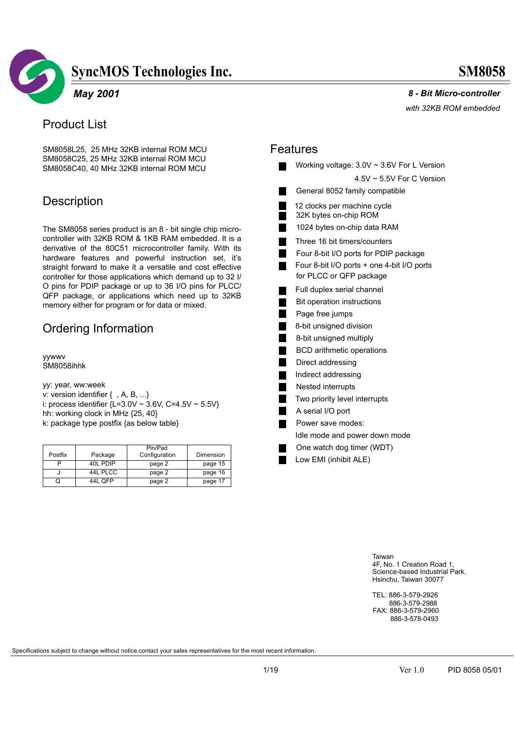

### *May 2001*

### Product List

SM8058L25, 25 MHz 32KB internal ROM MCU SM8058C25, 25 MHz 32KB internal ROM MCU SM8058C40, 40 MHz 32KB internal ROM MCU

### **Description**

The SM8058 series product is an 8 - bit single chip microcontroller with 32KB ROM & 1KB RAM embedded. It is a derivative of the 80C51 microcontroller family. With its hardware features and powerful instruction set, it's straight forward to make it a versatile and cost effective controller for those applications which demand up to 32 I/ O pins for PDIP package or up to 36 I/O pins for PLCC/ QFP package, or applications which need up to 32KB memory either for program or for data or mixed.

### Ordering Information

yywwv SM8058ihhk

yy: year, ww:week v: version identifier { , A, B, ...} i: process identifier  $\{L=3.0 \vee \sim 3.6 \vee, C=4.5 \vee \sim 5.5 \vee\}$ hh: working clock in MHz {25, 40} k: package type postfix {as below table}

| Postfix | Package  | Pin/Pad<br>Configuration | Dimension |
|---------|----------|--------------------------|-----------|
|         |          |                          |           |
|         | 40L PDIP | page 2                   | page 15   |
| J       | 44L PLCC | page 2                   | page 16   |
|         | 44L OFP  | page 2                   | page 17   |

 *8 - Bit Micro-controller*

*with 32KB ROM embedded* 

### Features

|                | Working voltage: $3.0V \sim 3.6V$ For L Version                       |
|----------------|-----------------------------------------------------------------------|
|                | $4.5V \sim 5.5V$ For C Version                                        |
|                | General 8052 family compatible                                        |
| Ξ              | 12 clocks per machine cycle<br>32K bytes on-chip ROM                  |
| Ξ              | 1024 bytes on-chip data RAM                                           |
|                | Three 16 bit timers/counters                                          |
|                | Four 8-bit I/O ports for PDIP package                                 |
| ٠              | Four 8-bit I/O ports + one 4-bit I/O ports<br>for PLCC or QFP package |
|                | Full duplex serial channel                                            |
| Ξ              | Bit operation instructions                                            |
| $\blacksquare$ | Page free jumps                                                       |
| $\blacksquare$ | 8-bit unsigned division                                               |
|                | 8-bit unsigned multiply                                               |
| Ξ              | <b>BCD</b> arithmetic operations                                      |
| П              | Direct addressing                                                     |
|                | Indirect addressing                                                   |
| $\blacksquare$ | Nested interrupts                                                     |
| Ξ              | Two priority level interrupts                                         |
| Ξ              | A serial I/O port                                                     |
|                | Power save modes:                                                     |
|                | Idle mode and power down mode                                         |
|                | One watch dog timer (WDT)                                             |
|                | Low EMI (inhibit ALE)                                                 |

Taiwan 4F, No. 1 Creation Road 1, Science-based Industrial Park, Hsinchu, Taiwan 30077

TEL: 886-3-579-2926 FAX: 886-3-579-2960 886-3-578-0493 886-3-579-2988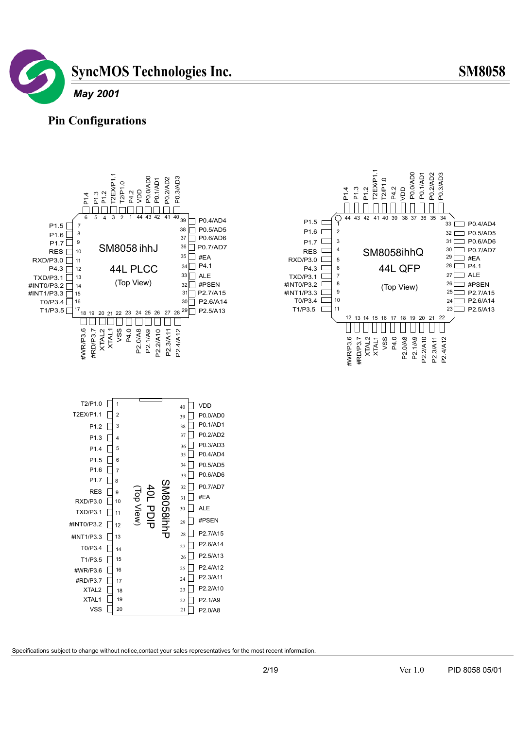





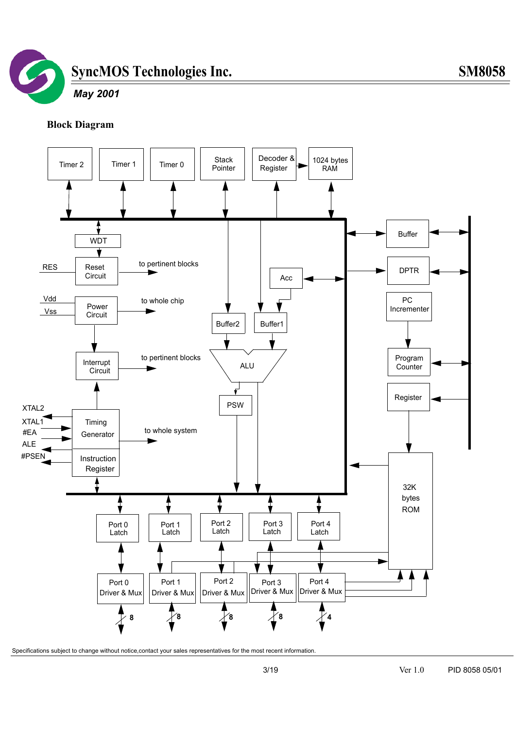

### *May 2001*

### **Block Diagram**

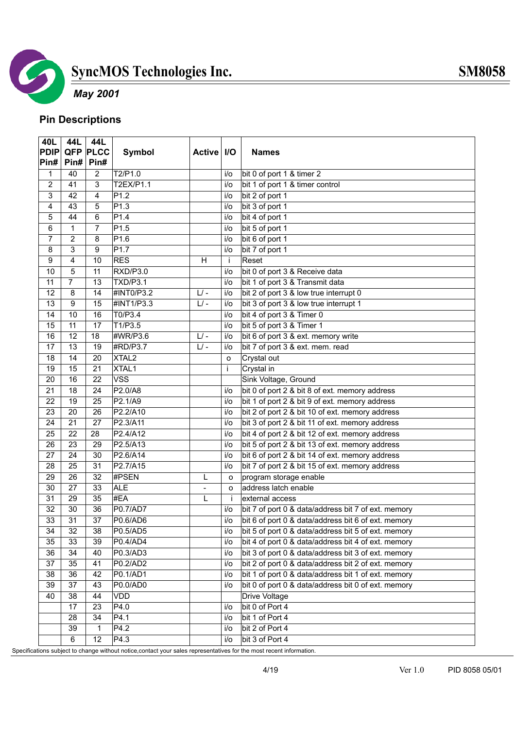

# *May 2001*

### **Pin Descriptions**

| 40L             | 44L             | 44L             |                   |                          |         |                                                     |
|-----------------|-----------------|-----------------|-------------------|--------------------------|---------|-----------------------------------------------------|
| <b>PDIP</b>     |                 | <b>QFP PLCC</b> | Symbol            | Active   I/O             |         | <b>Names</b>                                        |
| Pin#            | Pin#            | Pin#            |                   |                          |         |                                                     |
| 1               | 40              | $\overline{2}$  | T2/P1.0           |                          | i/o     | bit 0 of port 1 & timer 2                           |
| $\overline{2}$  | 41              | 3               | T2EX/P1.1         |                          | $i$ o   | bit 1 of port 1 & timer control                     |
| 3               | 42              | 4               | P <sub>1.2</sub>  |                          | i/o     | bit 2 of port 1                                     |
| 4               | 43              | 5               | P1.3              |                          | i/o     | bit 3 of port 1                                     |
| 5               | 44              | $\,6\,$         | P1.4              |                          | $i$ o   | bit 4 of port 1                                     |
| 6               | $\mathbf{1}$    | $\overline{7}$  | P1.5              |                          | $i$ o   | bit 5 of port 1                                     |
| $\overline{7}$  | $\overline{2}$  | 8               | P1.6              |                          | $i$ o   | bit 6 of port 1                                     |
| 8               | 3               | $\overline{9}$  | P1.7              |                          | $i$ o   | bit 7 of port 1                                     |
| 9               | 4               | 10              | <b>RES</b>        | H                        | j.      | Reset                                               |
| 10              | 5               | $\overline{11}$ | RXD/P3.0          |                          | $i$ o   | bit 0 of port 3 & Receive data                      |
| 11              | $\overline{7}$  | 13              | <b>TXD/P3.1</b>   |                          | $i$ o   | bit 1 of port 3 & Transmit data                     |
| 12              | 8               | $\overline{14}$ | #INT0/P3.2        | $L$ / -                  | i/o     | bit 2 of port 3 & low true interrupt 0              |
| 13              | 9               | 15              | #INT1/P3.3        | $L$ -                    | i/o     | bit 3 of port 3 & low true interrupt 1              |
| 14              | $\overline{10}$ | 16              | T0/P3.4           |                          | $i$ o   | bit 4 of port 3 & Timer 0                           |
| $\overline{15}$ | 11              | $\overline{17}$ | T1/P3.5           |                          | i/o     | bit 5 of port 3 & Timer 1                           |
| 16              | $\overline{12}$ | 18              | #WR/P3.6          | $L$ -                    | i/o     | bit 6 of port 3 & ext. memory write                 |
| 17              | $\overline{13}$ | $\overline{19}$ | #RD/P3.7          | $L$ -                    | $i$ o   | bit 7 of port 3 & ext. mem. read                    |
| $\overline{18}$ | 14              | 20              | XTAL <sub>2</sub> |                          | O       | Crystal out                                         |
| 19              | $\overline{15}$ | $\overline{21}$ | XTAL1             |                          | j.      | Crystal in                                          |
| 20              | 16              | $\overline{22}$ | <b>VSS</b>        |                          |         | Sink Voltage, Ground                                |
| $\overline{21}$ | 18              | $\overline{24}$ | P2.0/A8           |                          | i/o     | bit 0 of port 2 & bit 8 of ext. memory address      |
| 22              | $\overline{19}$ | $\overline{25}$ | P2.1/A9           |                          | $i$ o   | bit 1 of port 2 & bit 9 of ext. memory address      |
| $\overline{23}$ | $\overline{20}$ | $\overline{26}$ | P2.2/A10          |                          | $i$ o   | bit 2 of port 2 & bit 10 of ext. memory address     |
| 24              | $\overline{21}$ | $\overline{27}$ | P2.3/A11          |                          | $i$ o   | bit 3 of port 2 & bit 11 of ext. memory address     |
| 25              | 22              | 28              | P2.4/A12          |                          | i/o     | bit 4 of port 2 & bit 12 of ext. memory address     |
| $\overline{26}$ | $\overline{23}$ | 29              | P2.5/A13          |                          | $i$ o   | bit 5 of port 2 & bit 13 of ext. memory address     |
| $\overline{27}$ | $\overline{24}$ | 30              | P2.6/A14          |                          | i/o     | bit 6 of port 2 & bit 14 of ext. memory address     |
| 28              | $\overline{25}$ | $\overline{31}$ | P2.7/A15          |                          | $i$ o   | bit 7 of port 2 & bit 15 of ext. memory address     |
| 29              | $\overline{26}$ | $\overline{32}$ | #PSEN             | L                        | $\circ$ | program storage enable                              |
| $\overline{30}$ | $\overline{27}$ | 33              | <b>ALE</b>        | $\overline{\phantom{a}}$ | $\circ$ | address latch enable                                |
| 31              | 29              | 35              | #EA               | L                        | -i      | external access                                     |
| 32              | $\overline{30}$ | $\overline{36}$ | <b>P0.7/AD7</b>   |                          | i/o     | bit 7 of port 0 & data/address bit 7 of ext. memory |
| 33              | $\overline{31}$ | 37              | P0.6/AD6          |                          | i/o     | bit 6 of port 0 & data/address bit 6 of ext. memory |
| 34              | 32              | 38              | P0.5/AD5          |                          | i/o     | bit 5 of port 0 & data/address bit 5 of ext. memory |
| 35              | 33              | 39              | P0.4/AD4          |                          | i/o     | bit 4 of port 0 & data/address bit 4 of ext. memory |
| 36              | 34              | 40              | P0.3/AD3          |                          | i/o     | bit 3 of port 0 & data/address bit 3 of ext. memory |
| 37              | 35              | 41              | P0.2/AD2          |                          | i/o     | bit 2 of port 0 & data/address bit 2 of ext. memory |
| 38              | 36              | 42              | P0.1/AD1          |                          | i/o     | bit 1 of port 0 & data/address bit 1 of ext. memory |
| 39              | 37              | 43              | P0.0/AD0          |                          | i/o     | bit 0 of port 0 & data/address bit 0 of ext. memory |
| 40              | 38              | 44              | VDD               |                          |         | <b>Drive Voltage</b>                                |
|                 | $\overline{17}$ | $\overline{23}$ | P4.0              |                          | i/o     | bit 0 of Port 4                                     |
|                 | 28              | 34              | P4.1              |                          | i/o     | bit 1 of Port 4                                     |
|                 | 39              | $\mathbf{1}$    | P4.2              |                          | i/o     | bit 2 of Port 4                                     |
|                 | 6               | $\overline{12}$ | P4.3              |                          | i/o     | bit 3 of Port 4                                     |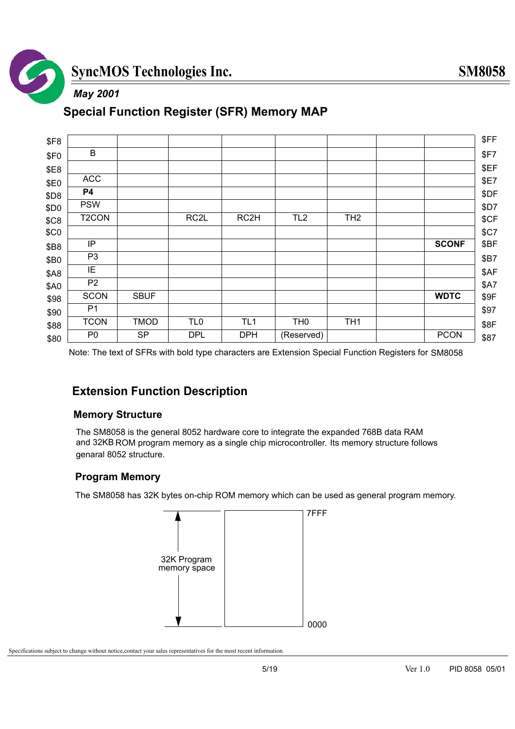

### *May 2001*

### **Special Function Register (SFR) Memory MAP**

| \$F8             |                    |             |                   |                   |                 |                 |              |
|------------------|--------------------|-------------|-------------------|-------------------|-----------------|-----------------|--------------|
| \$F <sub>0</sub> | B                  |             |                   |                   |                 |                 |              |
| \$E8             |                    |             |                   |                   |                 |                 |              |
| \$E0             | <b>ACC</b>         |             |                   |                   |                 |                 |              |
| \$D8             | P4                 |             |                   |                   |                 |                 |              |
| \$D0             | <b>PSW</b>         |             |                   |                   |                 |                 |              |
| \$C8             | T <sub>2</sub> CON |             | RC <sub>2</sub> L | RC <sub>2</sub> H | TL <sub>2</sub> | TH <sub>2</sub> |              |
| \$C <sub>0</sub> |                    |             |                   |                   |                 |                 |              |
| \$B8             | IP                 |             |                   |                   |                 |                 | <b>SCONF</b> |
| \$B0             | P <sub>3</sub>     |             |                   |                   |                 |                 |              |
| <b>\$A8</b>      | ΙE                 |             |                   |                   |                 |                 |              |
| <b>\$A0</b>      | P <sub>2</sub>     |             |                   |                   |                 |                 |              |
| \$98             | <b>SCON</b>        | <b>SBUF</b> |                   |                   |                 |                 | <b>WDTC</b>  |
| \$90             | P <sub>1</sub>     |             |                   |                   |                 |                 |              |
| \$88             | <b>TCON</b>        | <b>TMOD</b> | TL <sub>0</sub>   | TL <sub>1</sub>   | TH <sub>0</sub> | TH <sub>1</sub> |              |
| \$80             | P <sub>0</sub>     | <b>SP</b>   | <b>DPL</b>        | <b>DPH</b>        | (Reserved)      |                 | <b>PCON</b>  |

Note: The text of SFRs with bold type characters are Extension Special Function Registers for SM8058

### **Extension Function Description**

### **Memory Structure**

The SM8058 is the general 8052 hardware core to integrate the expanded 768B data RAM and 32KB ROM program memory as a single chip microcontroller. Its memory structure follows genaral 8052 structure.

### **Program Memory**

The SM8058 has 32K bytes on-chip ROM memory which can be used as general program memory.

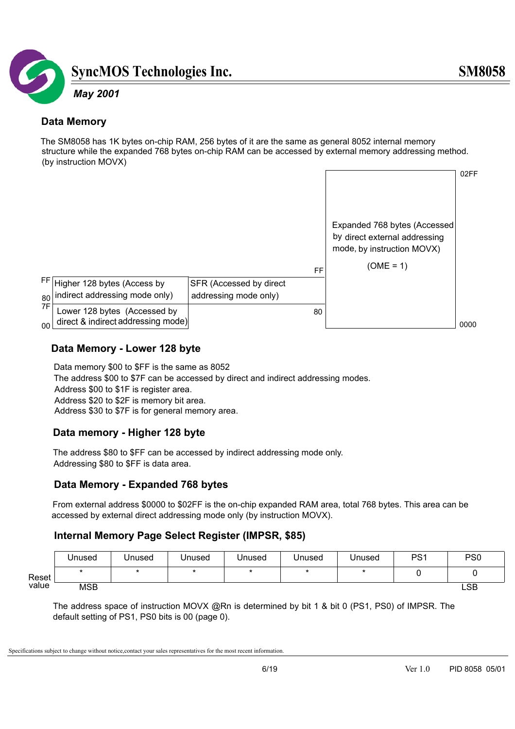

### **Data Memory**

The SM8058 has 1K bytes on-chip RAM, 256 bytes of it are the same as general 8052 internal memory structure while the expanded 768 bytes on-chip RAM can be accessed by external memory addressing method. (by instruction MOVX)



### **Data Memory - Lower 128 byte**

Data memory \$00 to \$FF is the same as 8052 The address \$00 to \$7F can be accessed by direct and indirect addressing modes. Address \$00 to \$1F is register area. Address \$20 to \$2F is memory bit area. Address \$30 to \$7F is for general memory area.

### **Data memory - Higher 128 byte**

The address \$80 to \$FF can be accessed by indirect addressing mode only. Addressing \$80 to \$FF is data area.

### **Data Memory - Expanded 768 bytes**

 From external address \$0000 to \$02FF is the on-chip expanded RAM area, total 768 bytes. This area can be accessed by external direct addressing mode only (by instruction MOVX).

### **Internal Memory Page Select Register (IMPSR, \$85)**

|       | Unused     | Unused | Unused | Unused | Unused | Unused | PS <sub>1</sub> | PS <sub>0</sub> |
|-------|------------|--------|--------|--------|--------|--------|-----------------|-----------------|
| Reset |            |        |        |        |        |        |                 |                 |
| value | <b>MSB</b> |        |        |        |        |        |                 | LSB             |

The address space of instruction MOVX @Rn is determined by bit 1 & bit 0 (PS1, PS0) of IMPSR. The default setting of PS1, PS0 bits is 00 (page 0).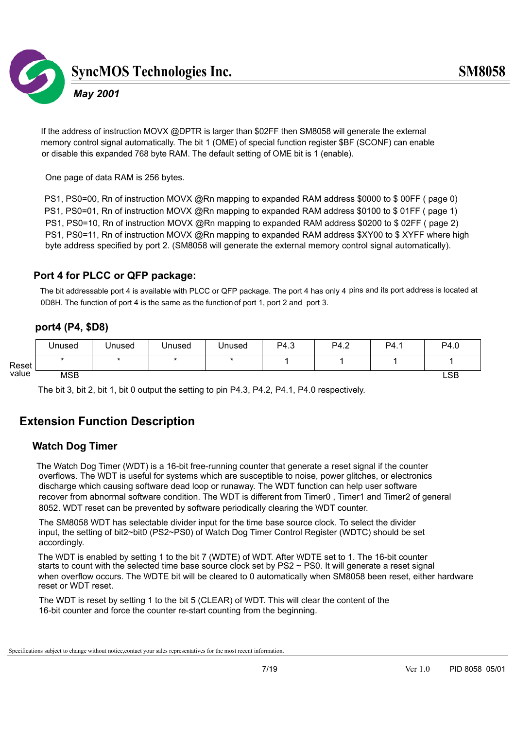

### *May 2001*

 If the address of instruction MOVX @DPTR is larger than \$02FF then SM8058 will generate the external memory control signal automatically. The bit 1 (OME) of special function register \$BF (SCONF) can enable or disable this expanded 768 byte RAM. The default setting of OME bit is 1 (enable).

One page of data RAM is 256 bytes.

PS1, PS0=00, Rn of instruction MOVX @Rn mapping to expanded RAM address \$0000 to \$ 00FF ( page 0) PS1, PS0=01, Rn of instruction MOVX @Rn mapping to expanded RAM address \$0100 to \$ 01FF ( page 1) PS1, PS0=10, Rn of instruction MOVX @Rn mapping to expanded RAM address \$0200 to \$ 02FF ( page 2) PS1, PS0=11, Rn of instruction MOVX @Rn mapping to expanded RAM address \$XY00 to \$XYFF where high byte address specified by port 2. (SM8058 will generate the external memory control signal automatically).

### **Port 4 for PLCC or QFP package:**

The bit addressable port 4 is available with PLCC or QFP package. The port 4 has only 4 pins and its port address is located at 0D8H. The function of port 4 is the same as the function of port 1, port 2 and port 3.

# **port4 (P4, \$D8)**

|       | Unused     | Unused | Unused | Unused | P4.3 | P4.2 | P4. | P4.0 |
|-------|------------|--------|--------|--------|------|------|-----|------|
| Reset |            |        |        |        |      |      |     |      |
| value | <b>MSB</b> |        |        |        |      |      |     | LSB  |

The bit 3, bit 2, bit 1, bit 0 output the setting to pin P4.3, P4.2, P4.1, P4.0 respectively.

### **Extension Function Description**

### **Watch Dog Timer**

The Watch Dog Timer (WDT) is a 16-bit free-running counter that generate a reset signal if the counter overflows. The WDT is useful for systems which are susceptible to noise, power glitches, or electronics discharge which causing software dead loop or runaway. The WDT function can help user software recover from abnormal software condition. The WDT is different from Timer0 , Timer1 and Timer2 of general 8052. WDT reset can be prevented by software periodically clearing the WDT counter.

 The SM8058 WDT has selectable divider input for the time base source clock. To select the divider input, the setting of bit2~bit0 (PS2~PS0) of Watch Dog Timer Control Register (WDTC) should be set accordingly.

The WDT is enabled by setting 1 to the bit 7 (WDTE) of WDT. After WDTE set to 1. The 16-bit counter starts to count with the selected time base source clock set by PS2 ~ PS0. It will generate a reset signal when overflow occurs. The WDTE bit will be cleared to 0 automatically when SM8058 been reset, either hardware reset or WDT reset.

 The WDT is reset by setting 1 to the bit 5 (CLEAR) of WDT. This will clear the content of the 16-bit counter and force the counter re-start counting from the beginning.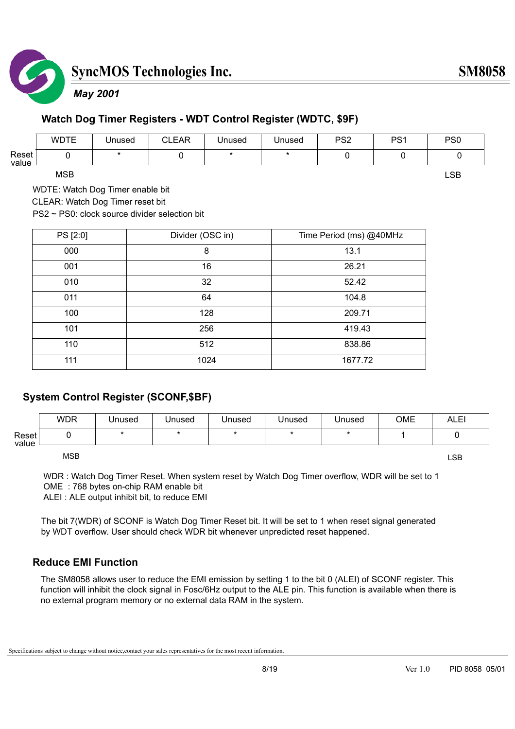

### *May 2001*

# **Watch Dog Timer Registers - WDT Control Register (WDTC, \$9F)**

|                | <b>WDTE</b> | Unused | <b>CLEAR</b> | Unused | Jnused | PS <sub>2</sub> | D <sub>Q</sub> 1<br>ັ | PS <sub>0</sub> |
|----------------|-------------|--------|--------------|--------|--------|-----------------|-----------------------|-----------------|
| Reset<br>value |             |        |              |        |        |                 |                       |                 |

MSB Production of the contract of the contract of the contract of the contract of the contract of the contract of the contract of the contract of the contract of the contract of the contract of the contract of the contract

WDTE: Watch Dog Timer enable bit

CLEAR: Watch Dog Timer reset bit

PS2 ~ PS0: clock source divider selection bit

| PS [2:0] | Divider (OSC in) | Time Period (ms) @40MHz |
|----------|------------------|-------------------------|
| 000      | 8                | 13.1                    |
| 001      | 16               | 26.21                   |
| 010      | 32               | 52.42                   |
| 011      | 64               | 104.8                   |
| 100      | 128              | 209.71                  |
| 101      | 256              | 419.43                  |
| 110      | 512              | 838.86                  |
| 111      | 1024             | 1677.72                 |

### **System Control Register (SCONF,\$BF)**

|                | <b>WDR</b> | Unused | Unused | Unused | Unused | Unused | OME | <b>ALE!</b> |
|----------------|------------|--------|--------|--------|--------|--------|-----|-------------|
| Reset<br>value |            |        |        |        |        |        |     |             |

MSB Example the contract of the contract of the contract of the contract of the contract of the contract of the contract of the contract of the contract of the contract of the contract of the contract of the contract of th

WDR : Watch Dog Timer Reset. When system reset by Watch Dog Timer overflow, WDR will be set to 1 OME : 768 bytes on-chip RAM enable bit ALEI : ALE output inhibit bit, to reduce EMI

The bit 7(WDR) of SCONF is Watch Dog Timer Reset bit. It will be set to 1 when reset signal generated by WDT overflow. User should check WDR bit whenever unpredicted reset happened.

### **Reduce EMI Function**

 The SM8058 allows user to reduce the EMI emission by setting 1 to the bit 0 (ALEI) of SCONF register. This function will inhibit the clock signal in Fosc/6Hz output to the ALE pin. This function is available when there is no external program memory or no external data RAM in the system.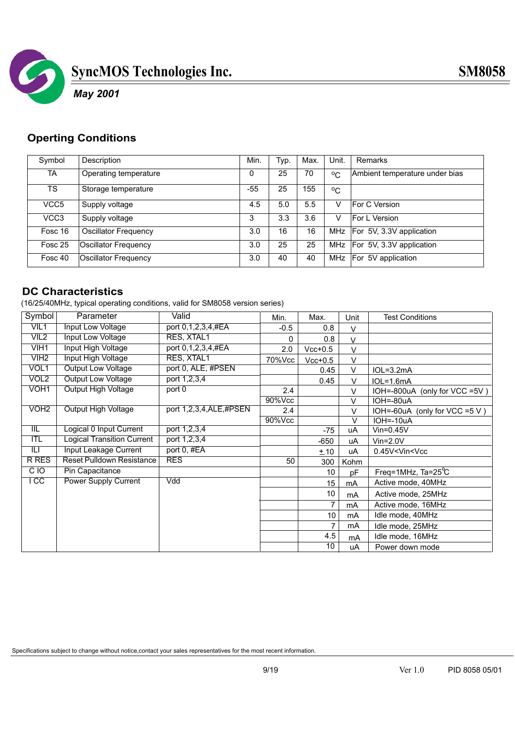

### *May 2001*

### **Operting Conditions**

| Symbol           | Description           | Min. | Typ. | Max. | Unit.        | Remarks                        |
|------------------|-----------------------|------|------|------|--------------|--------------------------------|
| TA               | Operating temperature |      | 25   | 70   | $^{\circ}$ C | Ambient temperature under bias |
| <b>TS</b>        | Storage temperature   | -55  | 25   | 155  | $^{\circ}$ C |                                |
| VCC <sub>5</sub> | Supply voltage        | 4.5  | 5.0  | 5.5  | v            | For C Version                  |
| VCC <sub>3</sub> | Supply voltage        | 3    | 3.3  | 3.6  | v            | <b>For L Version</b>           |
| Fosc 16          | Oscillator Frequency  | 3.0  | 16   | 16   |              | MHz   For 5V, 3.3V application |
| Fosc 25          | Oscillator Frequency  | 3.0  | 25   | 25   |              | MHz   For 5V, 3.3V application |
| Fosc 40          | Oscillator Frequency  | 3.0  | 40   | 40   |              | MHz   For 5V application       |

### **DC Characteristics**

(16/25/40MHz, typical operating conditions, valid for SM8058 version series)

| Symbol                  | Parameter                         | Valid                  | Min.   | Max.      | Unit   | <b>Test Conditions</b>            |
|-------------------------|-----------------------------------|------------------------|--------|-----------|--------|-----------------------------------|
| VIL1                    | Input Low Voltage                 | port 0,1,2,3,4,#EA     | $-0.5$ | 0.8       | $\vee$ |                                   |
| VIL <sub>2</sub>        | Input Low Voltage                 | RES, XTAL1             | 0      | 0.8       | $\vee$ |                                   |
| VIH <sub>1</sub>        | Input High Voltage                | port 0,1,2,3,4,#EA     | 2.0    | $Vcc+0.5$ | $\vee$ |                                   |
| V <sub>H2</sub>         | Input High Voltage                | RES, XTAL1             | 70%Vcc | $Vcc+0.5$ | V      |                                   |
| VOL1                    | Output Low Voltage                | port 0, ALE, #PSEN     |        | 0.45      | V      | $IOL=3.2mA$                       |
| VOL <sub>2</sub>        | Output Low Voltage                | port 1,2,3,4           |        | 0.45      | V      | $IOL=1.6mA$                       |
| VOH <sub>1</sub>        | <b>Output High Voltage</b>        | port 0                 | 2.4    |           | $\vee$ | IOH=-800uA (only for VCC =5V)     |
|                         |                                   |                        | 90%Vcc |           | V      | IOH=-80uA                         |
| VOH <sub>2</sub>        | <b>Output High Voltage</b>        | port 1,2,3,4,ALE,#PSEN | 2.4    |           | V      | IOH=-60uA (only for VCC =5 V)     |
|                         |                                   |                        | 90%Vcc |           | $\vee$ | IOH=-10uA                         |
| $\overline{\mathbb{I}}$ | Logical 0 Input Current           | port 1,2,3,4           |        | $-75$     | uA     | $V$ in=0.45 $V$                   |
| $\Pi$                   | <b>Logical Transition Current</b> | port 1,2,3,4           |        | -650      | uA     | $V$ in= $2.0V$                    |
| Ш                       | <b>Input Leakage Current</b>      | port 0, #EA            |        | ±10       | uA     | 0.45V <vin<vcc< td=""></vin<vcc<> |
| <b>R RES</b>            | <b>Reset Pulldown Resistance</b>  | <b>RES</b>             | 50     | 300       | Kohm   |                                   |
| CIO                     | Pin Capacitance                   |                        |        | 10        | pF     | Freq=1MHz, $Ta=25^{\circ}C$       |
| l CC                    | <b>Power Supply Current</b>       | Vdd                    |        | 15        | mA     | Active mode, 40MHz                |
|                         |                                   |                        |        | 10        | mA     | Active mode, 25MHz                |
|                         |                                   |                        |        | 7         | mA     | Active mode, 16MHz                |
|                         |                                   |                        |        | 10        | mA     | Idle mode, 40MHz                  |
|                         |                                   |                        |        | 7         | mA     | Idle mode, 25MHz                  |
|                         |                                   |                        |        | 4.5       | mA     | Idle mode, 16MHz                  |
|                         |                                   |                        |        | 10        | uA     | Power down mode                   |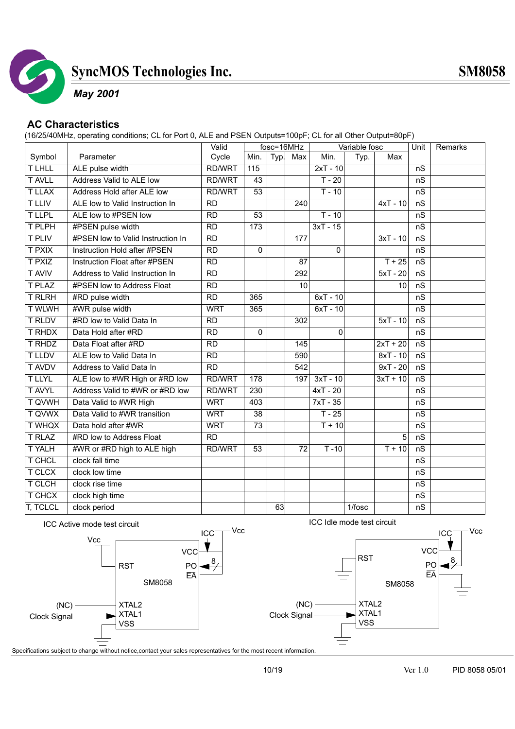

### *May 2001*

### **AC Characteristics**

(16/25/40MHz, operating conditions; CL for Port 0, ALE and PSEN Outputs=100pF; CL for all Other Output=80pF)

|                 |                                   | Valid           |                  |      | fosc=16MHz      |                | Variable fosc |            | Unit | <b>Remarks</b> |
|-----------------|-----------------------------------|-----------------|------------------|------|-----------------|----------------|---------------|------------|------|----------------|
| Symbol          | Parameter                         | Cycle           | Min.             | Typ. | Max             | Min.           | Typ.          | Max        |      |                |
| <b>TLHLL</b>    | ALE pulse width                   | <b>RD/WRT</b>   | 115              |      |                 | $2xT - 10$     |               |            | nS   |                |
| <b>T AVLL</b>   | Address Valid to ALE low          | <b>RD/WRT</b>   | 43               |      |                 | $T - 20$       |               |            | nS   |                |
| <b>TLLAX</b>    | Address Hold after ALE low        | RD/WRT          | 53               |      |                 | $T - 10$       |               |            | nS   |                |
| <b>T LLIV</b>   | ALE low to Valid Instruction In   | <b>RD</b>       |                  |      | 240             |                |               | $4xT - 10$ | nS   |                |
| <b>TLLPL</b>    | ALE low to #PSEN low              | $\overline{RD}$ | 53               |      |                 | $T - 10$       |               |            | nS   |                |
| T PLPH          | #PSEN pulse width                 | RD              | 173              |      |                 | $3xT - 15$     |               |            | nS   |                |
| <b>T PLIV</b>   | #PSEN low to Valid Instruction In | $\overline{RD}$ |                  |      | 177             |                |               | $3xT - 10$ | nS   |                |
| <b>T PXIX</b>   | Instruction Hold after #PSEN      | RD              | $\overline{0}$   |      |                 | $\overline{0}$ |               |            | nS   |                |
| <b>T PXIZ</b>   | Instruction Float after #PSEN     | $\overline{RD}$ |                  |      | $\overline{87}$ |                |               | $T + 25$   | nS   |                |
| <b>TAVIV</b>    | Address to Valid Instruction In   | $\overline{RD}$ |                  |      | 292             |                |               | $5xT - 20$ | nS   |                |
| <b>T PLAZ</b>   | #PSEN low to Address Float        | $\overline{RD}$ |                  |      | 10              |                |               | 10         | nS   |                |
| <b>TRLRH</b>    | #RD pulse width                   | $\overline{RD}$ | 365              |      |                 | $6xT - 10$     |               |            | nS   |                |
| <b>T WLWH</b>   | #WR pulse width                   | <b>WRT</b>      | 365              |      |                 | $6xT - 10$     |               |            | nS   |                |
| <b>T RLDV</b>   | #RD low to Valid Data In          | <b>RD</b>       |                  |      | 302             |                |               | $5xT - 10$ | nS   |                |
| <b>T RHDX</b>   | Data Hold after #RD               | $\overline{RD}$ | $\mathbf 0$      |      |                 | 0              |               |            | nS   |                |
| <b>T RHDZ</b>   | Data Float after #RD              | <b>RD</b>       |                  |      | 145             |                |               | $2xT + 20$ | nS   |                |
| <b>TLLDV</b>    | ALE low to Valid Data In          | $\overline{RD}$ |                  |      | 590             |                |               | $8xT - 10$ | nS   |                |
| <b>T AVDV</b>   | Address to Valid Data In          | <b>RD</b>       |                  |      | 542             |                |               | $9xT - 20$ | nS   |                |
| <b>TLLYL</b>    | ALE low to #WR High or #RD low    | <b>RD/WRT</b>   | 178              |      | 197             | $3xT - 10$     |               | $3xT + 10$ | nS   |                |
| <b>TAVYL</b>    | Address Valid to #WR or #RD low   | <b>RD/WRT</b>   | $\overline{230}$ |      |                 | $4xT - 20$     |               |            | nS   |                |
| <b>T QVWH</b>   | Data Valid to #WR High            | <b>WRT</b>      | 403              |      |                 | $7xT - 35$     |               |            | nS   |                |
| <b>T QVWX</b>   | Data Valid to #WR transition      | <b>WRT</b>      | 38               |      |                 | $T - 25$       |               |            | nS   |                |
| <b>T WHQX</b>   | Data hold after #WR               | <b>WRT</b>      | $\overline{73}$  |      |                 | $T + 10$       |               |            | nS   |                |
| <b>T RLAZ</b>   | #RD low to Address Float          | <b>RD</b>       |                  |      |                 |                |               | 5          | nS   |                |
| <b>TYALH</b>    | #WR or #RD high to ALE high       | <b>RD/WRT</b>   | 53               |      | $\overline{72}$ | $T - 10$       |               | $T + 10$   | nS   |                |
| T CHCL          | clock fall time                   |                 |                  |      |                 |                |               |            | nS   |                |
| <b>T CLCX</b>   | clock low time                    |                 |                  |      |                 |                |               |            | nS   |                |
| T CLCH          | clock rise time                   |                 |                  |      |                 |                |               |            | nS   |                |
| T CHCX          | clock high time                   |                 |                  |      |                 |                |               |            | nS   |                |
| <b>T, TCLCL</b> | clock period                      |                 |                  | 63   |                 |                | 1/fosc        |            | nS   |                |
|                 |                                   |                 |                  |      |                 |                |               |            |      |                |

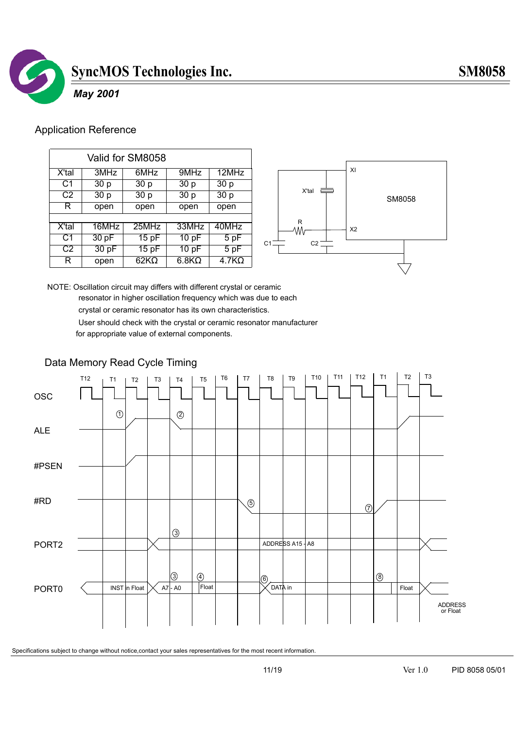

### *May 2001*

### Application Reference

| Valid for SM8058 |       |             |                   |              |
|------------------|-------|-------------|-------------------|--------------|
| X'tal            | 3MHz  | 6MHz        | 9MHz              | 12MHz        |
| C1               | 30p   | 30p         | 30p               | 30p          |
| C2               | 30p   | 30p         | $\overline{30}$ p | 30p          |
| R                | open  | open        | open              | open         |
|                  |       |             |                   |              |
| X'tal            | 16MHz | $25$ MHz    | 33MHz             | 40MHz        |
| C <sub>1</sub>   | 30 pF | 15pF        | 10pF              | 5 pF         |
| C <sub>2</sub>   | 30 pF | 15pF        | 10pF              | 5pF          |
| R                | open  | $62K\Omega$ | $6.8K\Omega$      | $4.7K\Omega$ |



NOTE: Oscillation circuit may differs with different crystal or ceramic resonator in higher oscillation frequency which was due to each crystal or ceramic resonator has its own characteristics.

 User should check with the crystal or ceramic resonator manufacturer for appropriate value of external components.

### Data Memory Read Cycle Timing

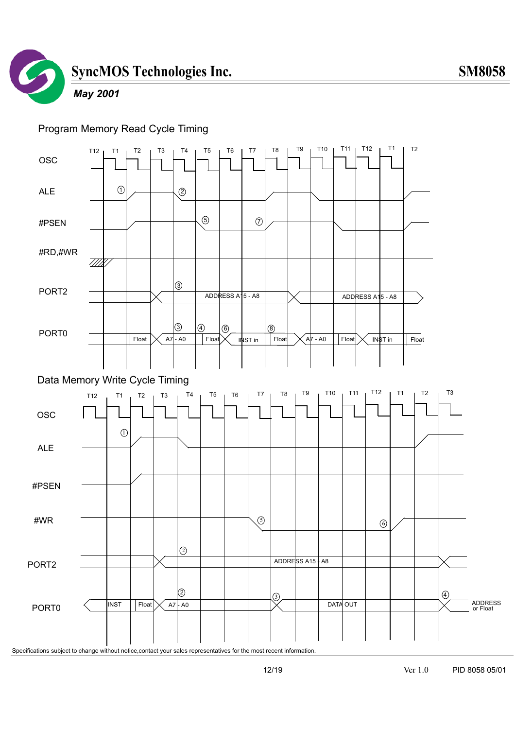

### *May 2001*

### Program Memory Read Cycle Timing

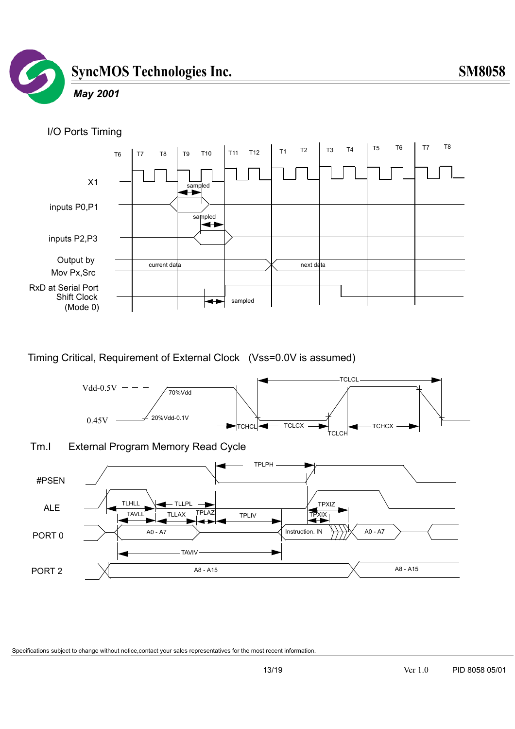

### *May 2001*





Timing Critical, Requirement of External Clock (Vss=0.0V is assumed)

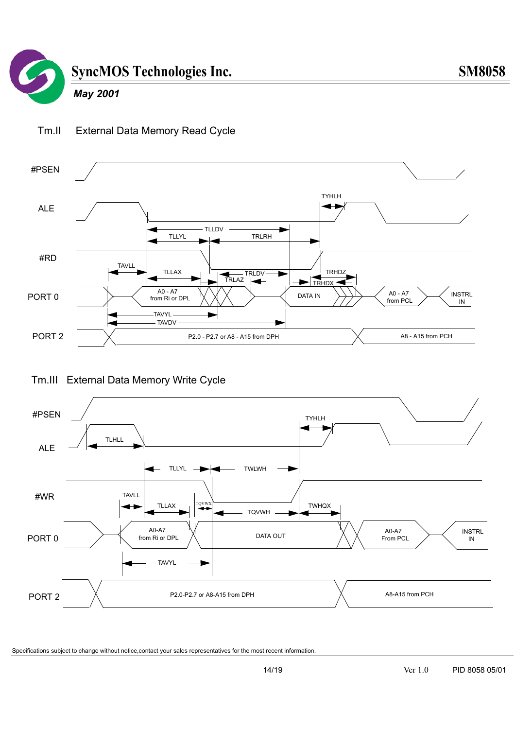

Tm.II External Data Memory Read Cycle

### *May 2001*



### Tm.III External Data Memory Write Cycle

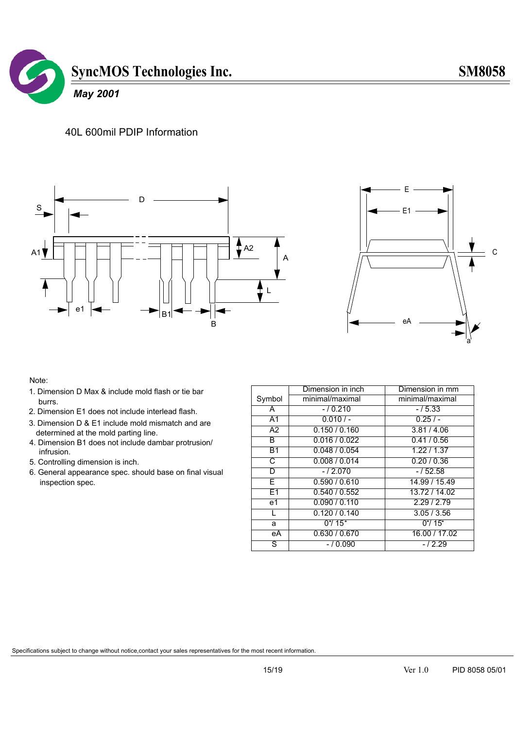

### 40L 600mil PDIP Information





#### Note:

- 1. Dimension D Max & include mold flash or tie bar burrs.
- 2. Dimension E1 does not include interlead flash.
- 3. Dimension D & E1 include mold mismatch and are determined at the mold parting line.
- 4. Dimension B1 does not include dambar protrusion/ infrusion.
- 5. Controlling dimension is inch.
- 6. General appearance spec. should base on final visual inspection spec.

|                 | Dimension in inch           | Dimension in mm         |
|-----------------|-----------------------------|-------------------------|
| Symbol          | minimal/maximal             | minimal/maximal         |
| A               | $-10.210$                   | $-15.33$                |
| $\overline{A1}$ | $0.010/-$                   | 0.25/                   |
| $\overline{A2}$ | 0.150 / 0.160               | 3.81 / 4.06             |
| B               | 0.016 / 0.022               | 0.41/0.56               |
| $\overline{B1}$ | 0.048 / 0.054               | 1.22 / 1.37             |
| C               | 0.008 / 0.014               | 0.20 / 0.36             |
| D               | $-/2.070$                   | $-152.58$               |
| F               | 0.590 / 0.610               | 14.99 / 15.49           |
| E1              | 0.540 / 0.552               | 13.72 / 14.02           |
| e1              | 0.090 / 0.110               | 2.29 / 2.79             |
| L               | 0.120 / 0.140               | 3.05 / 3.56             |
| a               | $0^{\circ}$ / 15 $^{\circ}$ | $0^{\circ}/ 15^{\circ}$ |
| еA              | 0.630 / 0.670               | 16.00 / 17.02           |
| ड               | $-10.090$                   | $-12.29$                |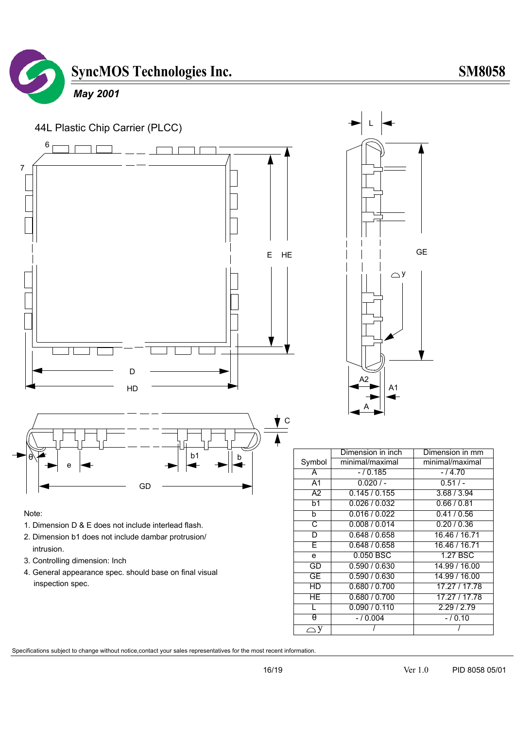

## *May 2001*



#### Note:

- 1. Dimension D & E does not include interlead flash.
- 2. Dimension b1 does not include dambar protrusion/ intrusion.
- 3. Controlling dimension: Inch
- 4. General appearance spec. should base on final visual inspection spec.

|                | Dimension in inch | Dimension in mm |
|----------------|-------------------|-----------------|
| Symbol         | minimal/maximal   | minimal/maximal |
| A              | $-10.185$         | $-14.70$        |
| A1             | 0.020/            | 0.51/           |
| A2             | 0.145/0.155       | 3.68 / 3.94     |
| b <sub>1</sub> | 0.026 / 0.032     | 0.66/0.81       |
| b              | 0.016 / 0.022     | 0.41/0.56       |
| C              | 0.008 / 0.014     | 0.20/0.36       |
| D              | 0.648 / 0.658     | 16.46 / 16.71   |
| E              | 0.648 / 0.658     | 16.46 / 16.71   |
| e              | $0.050$ BSC       | 1.27 BSC        |
| GD             | 0.590 / 0.630     | 14.99 / 16.00   |
| GE             | 0.590 / 0.630     | 14.99 / 16.00   |
| HD             | 0.680 / 0.700     | 17.27 / 17.78   |
| HE.            | 0.680 / 0.700     | 17.27 / 17.78   |
|                | 0.090 / 0.110     | 2.29/2.79       |
| $\theta$       | $-10.004$         | $-10.10$        |
|                |                   |                 |

L

 $\bigcirc$ 

A1

A2

A

GE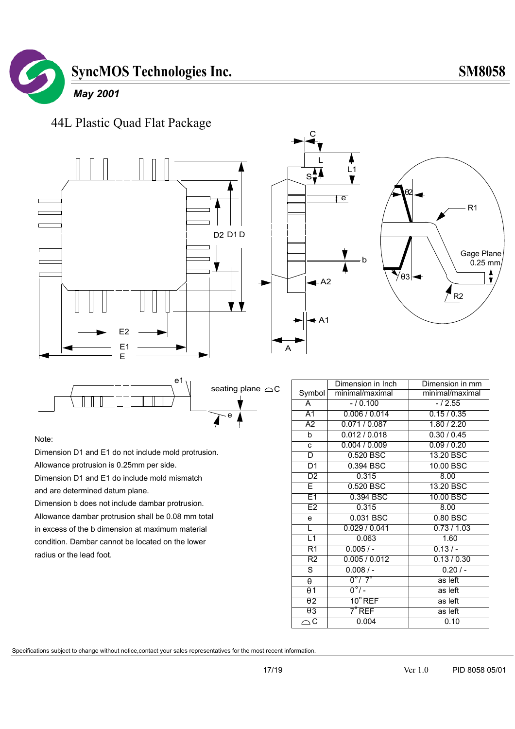

44L Plastic Quad Flat Package





e seating plane  $\triangle C$ 

Note:

Dimension D1 and E1 do not include mold protrusion.

Allowance protrusion is 0.25mm per side.

Dimension D1 and E1 do include mold mismatch

and are determined datum plane.

Dimension b does not include dambar protrusion. Allowance dambar protrusion shall be 0.08 mm total in excess of the b dimension at maximum material condition. Dambar cannot be located on the lower radius or the lead foot.

|                       | Dimension in Inch          | Dimension in mm |  |
|-----------------------|----------------------------|-----------------|--|
| Symbol                | minimal/maximal            | minimal/maximal |  |
| Ā                     | $-10.100$                  | $-/2.55$        |  |
| A <sub>1</sub>        | 0.006 / 0.014              | 0.15/0.35       |  |
| $\overline{A2}$       | 0.071 / 0.087              | 1.80 / 2.20     |  |
| b                     | 0.012/0.018                | 0.30 / 0.45     |  |
| C                     | 0.004 / 0.009              | 0.09 / 0.20     |  |
| D                     | 0.520 BSC                  | 13.20 BSC       |  |
| D1                    | 0.394 BSC                  | 10.00 BSC       |  |
| D2                    | 0.315                      | 8.00            |  |
| E                     | 0.520 BSC                  | 13.20 BSC       |  |
| E1                    | 0.394 BSC                  | 10.00 BSC       |  |
| E2                    | 0.315                      | 8.00            |  |
| e                     | 0.031 BSC                  | 0.80 BSC        |  |
| L                     | 0.029/0.041                | 0.73/1.03       |  |
| L1                    | 0.063                      | 1.60            |  |
| R1                    | $0.005/ -$                 | $0.13/-$        |  |
| R2                    | 0.005/0.012                | 0.13 / 0.30     |  |
| ड                     | $0.008/$ -                 | 0.20/           |  |
| $\theta$              | $0^{\circ}$ / 7 $^{\circ}$ | as left         |  |
| $\theta$ 1            | $0^{\circ}$ / -            | as left         |  |
| $\overline{\theta}$ 2 | $10^{\circ}$ REF           | as left         |  |
| $\theta$ 3            | $7^\circ$ REF              | as left         |  |
| $\overline{\circ}$ c  | 0.004                      | 0.10            |  |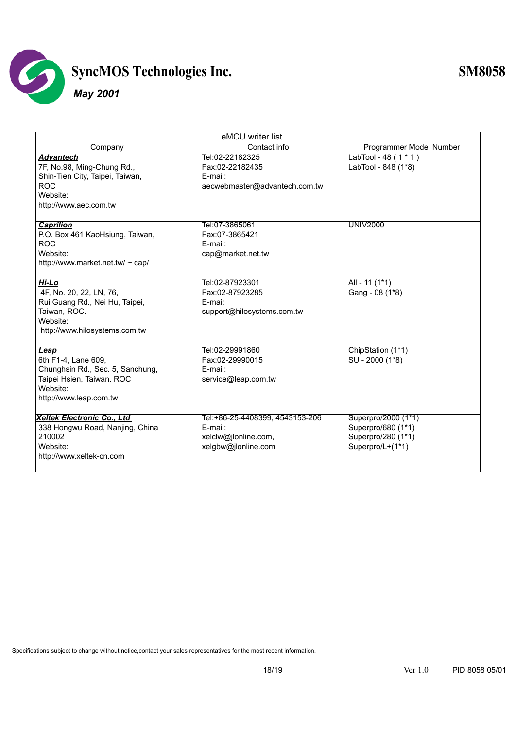

### *May 2001*

| eMCU writer list                 |                                 |                         |  |
|----------------------------------|---------------------------------|-------------------------|--|
| Company                          | Contact info                    | Programmer Model Number |  |
| <b>Advantech</b>                 | Tel:02-22182325                 | LabTool - 48 $(1 * 1)$  |  |
| 7F, No.98, Ming-Chung Rd.,       | Fax:02-22182435                 | LabTool - 848 (1*8)     |  |
| Shin-Tien City, Taipei, Taiwan,  | E-mail:                         |                         |  |
| <b>ROC</b>                       | aecwebmaster@advantech.com.tw   |                         |  |
| Website:                         |                                 |                         |  |
| http://www.aec.com.tw            |                                 |                         |  |
|                                  |                                 |                         |  |
| <b>Caprilion</b>                 | Tel:07-3865061                  | <b>UNIV2000</b>         |  |
| P.O. Box 461 KaoHsiung, Taiwan,  | Fax:07-3865421                  |                         |  |
| <b>ROC</b>                       | E-mail:                         |                         |  |
| Website:                         | cap@market.net.tw               |                         |  |
| http://www.market.net.tw/ ~ cap/ |                                 |                         |  |
|                                  |                                 |                         |  |
| Hi-Lo                            | Tel:02-87923301                 | All - 11 $(1*1)$        |  |
| 4F, No. 20, 22, LN, 76,          | Fax:02-87923285                 | Gang - 08 (1*8)         |  |
| Rui Guang Rd., Nei Hu, Taipei,   | E-mai:                          |                         |  |
| Taiwan, ROC.                     | support@hilosystems.com.tw      |                         |  |
| Website:                         |                                 |                         |  |
| http://www.hilosystems.com.tw    |                                 |                         |  |
|                                  |                                 |                         |  |
| <u>Leap</u>                      | Tel:02-29991860                 | ChipStation (1*1)       |  |
| 6th F1-4, Lane 609,              | Fax:02-29990015                 | SU - 2000 (1*8)         |  |
| Chunghsin Rd., Sec. 5, Sanchung, | E-mail:                         |                         |  |
| Taipei Hsien, Taiwan, ROC        | service@leap.com.tw             |                         |  |
| Website:                         |                                 |                         |  |
| http://www.leap.com.tw           |                                 |                         |  |
|                                  |                                 |                         |  |
| Xeltek Electronic Co., Ltd       | Tel:+86-25-4408399, 4543153-206 | Superpro/2000 (1*1)     |  |
| 338 Hongwu Road, Nanjing, China  | E-mail:                         | Superpro/680 (1*1)      |  |
| 210002                           | xelclw@jlonline.com,            | Superpro/280 (1*1)      |  |
| Website:                         | xelgbw@jlonline.com             | Superpro/L+(1*1)        |  |
| http://www.xeltek-cn.com         |                                 |                         |  |
|                                  |                                 |                         |  |